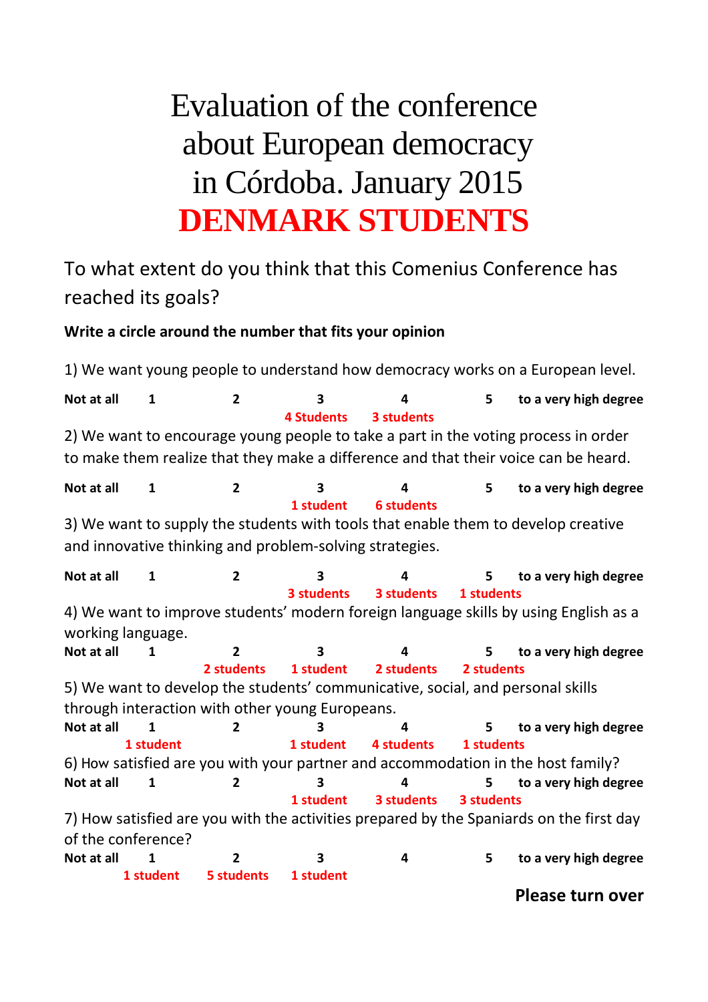## Evaluation of the conference about European democracy in Córdoba. January 2015 **DENMARK STUDENTS**

## To what extent do you think that this Comenius Conference has reached its goals?

## **Write a circle around the number that fits your opinion**

1) We want young people to understand how democracy works on a European level. Not at all 1 1 2 3 4 5 to a very high degree  **4 Students 3 students**  2) We want to encourage young people to take a part in the voting process in order to make them realize that they make a difference and that their voice can be heard. Not at all 1 1 2 3 4 5 to a very high degree  **1 student 6 students**  3) We want to supply the students with tools that enable them to develop creative and innovative thinking and problem-solving strategies. Not at all 1 1 2 3 4 5 to a very high degree  **3 students 3 students 1 students** 4) We want to improve students' modern foreign language skills by using English as a working language. Not at all 1 1 2 3 4 5 to a very high degree  **2 students 1 student 2 students 2 students** 5) We want to develop the students' communicative, social, and personal skills through interaction with other young Europeans. Not at all 1 1 2 3 4 5 to a very high degree **1 student 1 student 4 students 1 students** 6) How satisfied are you with your partner and accommodation in the host family? Not at all 1 1 2 3 4 5 to a very high degree  **1 student 3 students 3 students** 7) How satisfied are you with the activities prepared by the Spaniards on the first day of the conference? Not at all 1 1 2 3 4 5 to a very high degree  **1 student 5 students 1 student Please turn over**